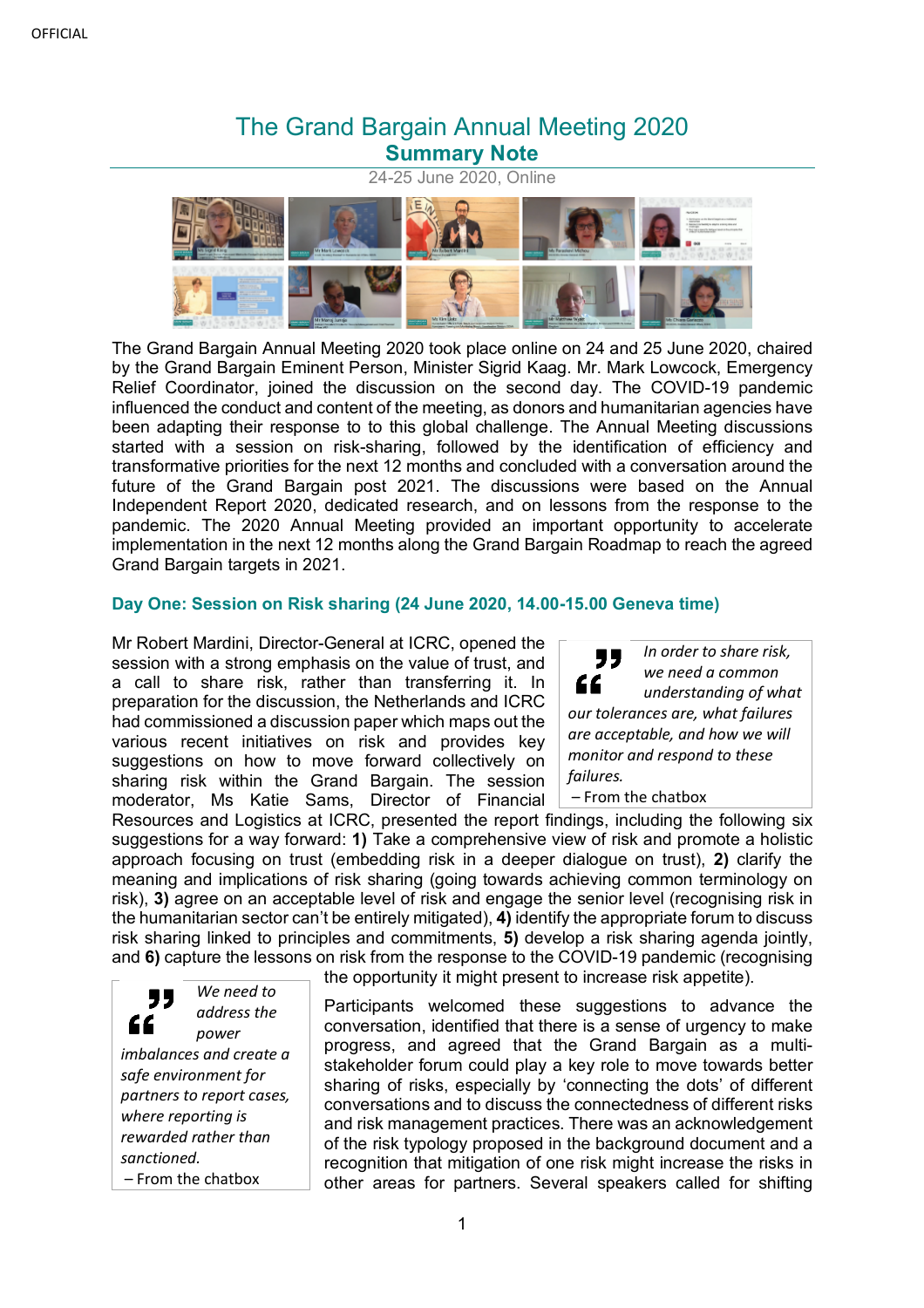# The Grand Bargain Annual Meeting 2020 **Summary Note**

24-25 June 2020, Online

The Grand Bargain Annual Meeting 2020 took place online on 24 and 25 June 2020, chaired by the Grand Bargain Eminent Person, Minister Sigrid Kaag. Mr. Mark Lowcock, Emergency Relief Coordinator, joined the discussion on the second day. The COVID-19 pandemic influenced the conduct and content of the meeting, as donors and humanitarian agencies have been adapting their response to to this global challenge. The Annual Meeting discussions started with a session on risk-sharing, followed by the identification of efficiency and transformative priorities for the next 12 months and concluded with a conversation around the future of the Grand Bargain post 2021. The discussions were based on the Annual Independent Report 2020, dedicated research, and on lessons from the response to the pandemic. The 2020 Annual Meeting provided an important opportunity to accelerate implementation in the next 12 months along the Grand Bargain Roadmap to reach the agreed Grand Bargain targets in 2021.

# **Day One: Session on Risk sharing (24 June 2020, 14.00-15.00 Geneva time)**

Mr Robert Mardini, Director-General at ICRC, opened the session with a strong emphasis on the value of trust, and a call to share risk, rather than transferring it. In preparation for the discussion, the Netherlands and ICRC had commissioned a discussion paper which maps out the various recent initiatives on risk and provides key suggestions on how to move forward collectively on sharing risk within the Grand Bargain. The session moderator, Ms Katie Sams, Director of Financial

*In order to share risk,*  " *we need a common*  " *understanding of what our tolerances are, what failures are acceptable, and how we will monitor and respond to these failures.*

– From the chatbox

Resources and Logistics at ICRC, presented the report findings, including the following six suggestions for a way forward: **1)** Take a comprehensive view of risk and promote a holistic approach focusing on trust (embedding risk in a deeper dialogue on trust), **2)** clarify the meaning and implications of risk sharing (going towards achieving common terminology on risk), **3)** agree on an acceptable level of risk and engage the senior level (recognising risk in the humanitarian sector can't be entirely mitigated), **4)** identify the appropriate forum to discuss risk sharing linked to principles and commitments, **5)** develop a risk sharing agenda jointly, and **6)** capture the lessons on risk from the response to the COVID-19 pandemic (recognising the opportunity it might present to increase risk appetite).

*We need to*  77 *address the*  " *power imbalances and create a safe environment for partners to report cases, where reporting is rewarded rather than sanctioned.* – From the chatbox

Participants welcomed these suggestions to advance the conversation, identified that there is a sense of urgency to make progress, and agreed that the Grand Bargain as a multistakeholder forum could play a key role to move towards better sharing of risks, especially by 'connecting the dots' of different conversations and to discuss the connectedness of different risks and risk management practices. There was an acknowledgement of the risk typology proposed in the background document and a recognition that mitigation of one risk might increase the risks in other areas for partners. Several speakers called for shifting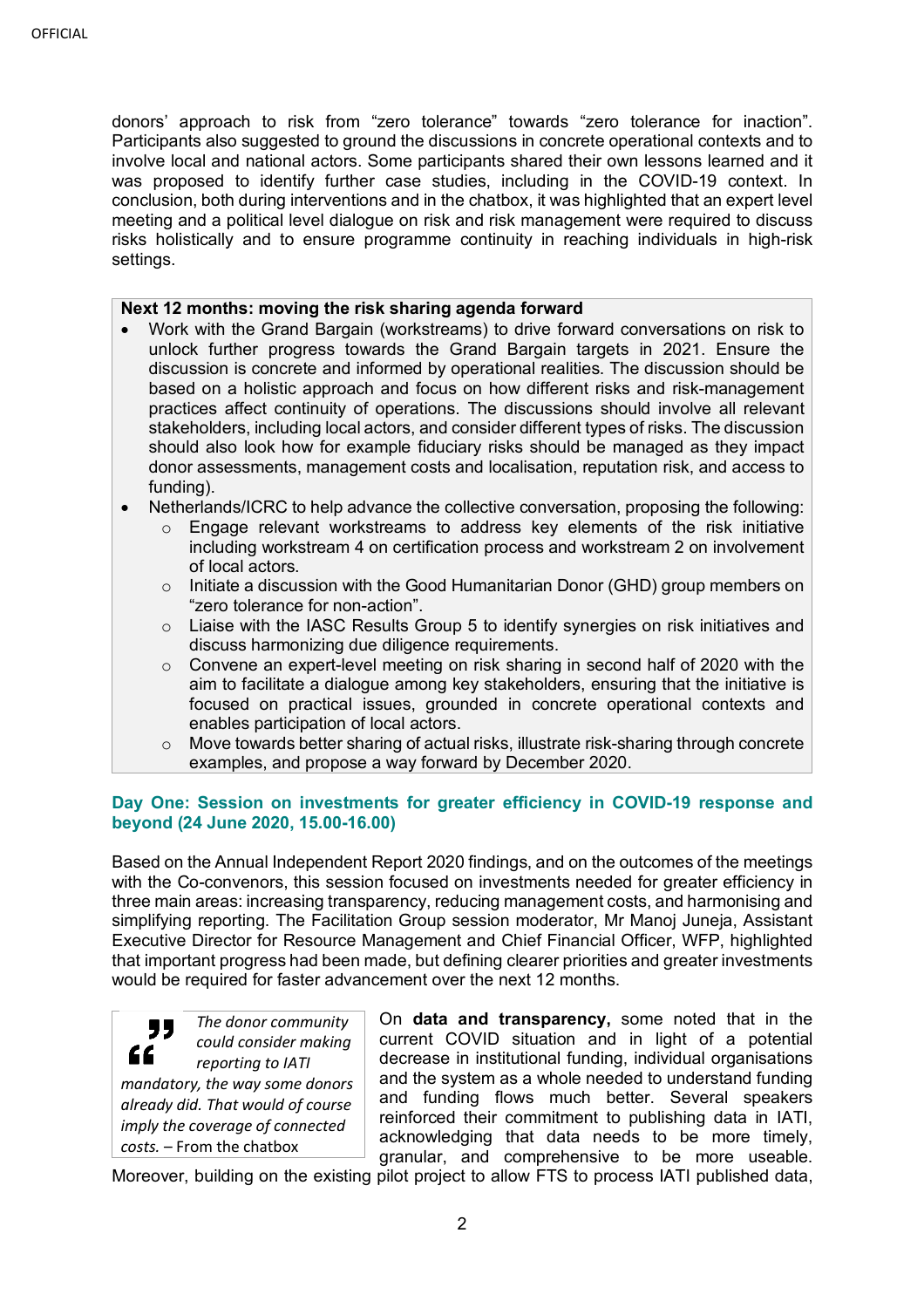donors' approach to risk from "zero tolerance" towards "zero tolerance for inaction". Participants also suggested to ground the discussions in concrete operational contexts and to involve local and national actors. Some participants shared their own lessons learned and it was proposed to identify further case studies, including in the COVID-19 context. In conclusion, both during interventions and in the chatbox, it was highlighted that an expert level meeting and a political level dialogue on risk and risk management were required to discuss risks holistically and to ensure programme continuity in reaching individuals in high-risk settings.

### **Next 12 months: moving the risk sharing agenda forward**

- Work with the Grand Bargain (workstreams) to drive forward conversations on risk to unlock further progress towards the Grand Bargain targets in 2021. Ensure the discussion is concrete and informed by operational realities. The discussion should be based on a holistic approach and focus on how different risks and risk-management practices affect continuity of operations. The discussions should involve all relevant stakeholders, including local actors, and consider different types of risks. The discussion should also look how for example fiduciary risks should be managed as they impact donor assessments, management costs and localisation, reputation risk, and access to funding).
- Netherlands/ICRC to help advance the collective conversation, proposing the following:
	- o Engage relevant workstreams to address key elements of the risk initiative including workstream 4 on certification process and workstream 2 on involvement of local actors.
	- o Initiate a discussion with the Good Humanitarian Donor (GHD) group members on "zero tolerance for non-action".
	- o Liaise with the IASC Results Group 5 to identify synergies on risk initiatives and discuss harmonizing due diligence requirements.
	- $\circ$  Convene an expert-level meeting on risk sharing in second half of 2020 with the aim to facilitate a dialogue among key stakeholders, ensuring that the initiative is focused on practical issues, grounded in concrete operational contexts and enables participation of local actors.
	- $\circ$  Move towards better sharing of actual risks, illustrate risk-sharing through concrete examples, and propose a way forward by December 2020.

# **Day One: Session on investments for greater efficiency in COVID-19 response and beyond (24 June 2020, 15.00-16.00)**

Based on the Annual Independent Report 2020 findings, and on the outcomes of the meetings with the Co-convenors, this session focused on investments needed for greater efficiency in three main areas: increasing transparency, reducing management costs, and harmonising and simplifying reporting. The Facilitation Group session moderator, Mr Manoj Juneja, Assistant Executive Director for Resource Management and Chief Financial Officer, WFP, highlighted that important progress had been made, but defining clearer priorities and greater investments would be required for faster advancement over the next 12 months.



*mandatory, the way some donors already did. That would of course imply the coverage of connected costs.* – From the chatbox

On **data and transparency,** some noted that in the current COVID situation and in light of a potential decrease in institutional funding, individual organisations and the system as a whole needed to understand funding and funding flows much better. Several speakers reinforced their commitment to publishing data in IATI, acknowledging that data needs to be more timely, granular, and comprehensive to be more useable.

Moreover, building on the existing pilot project to allow FTS to process IATI published data,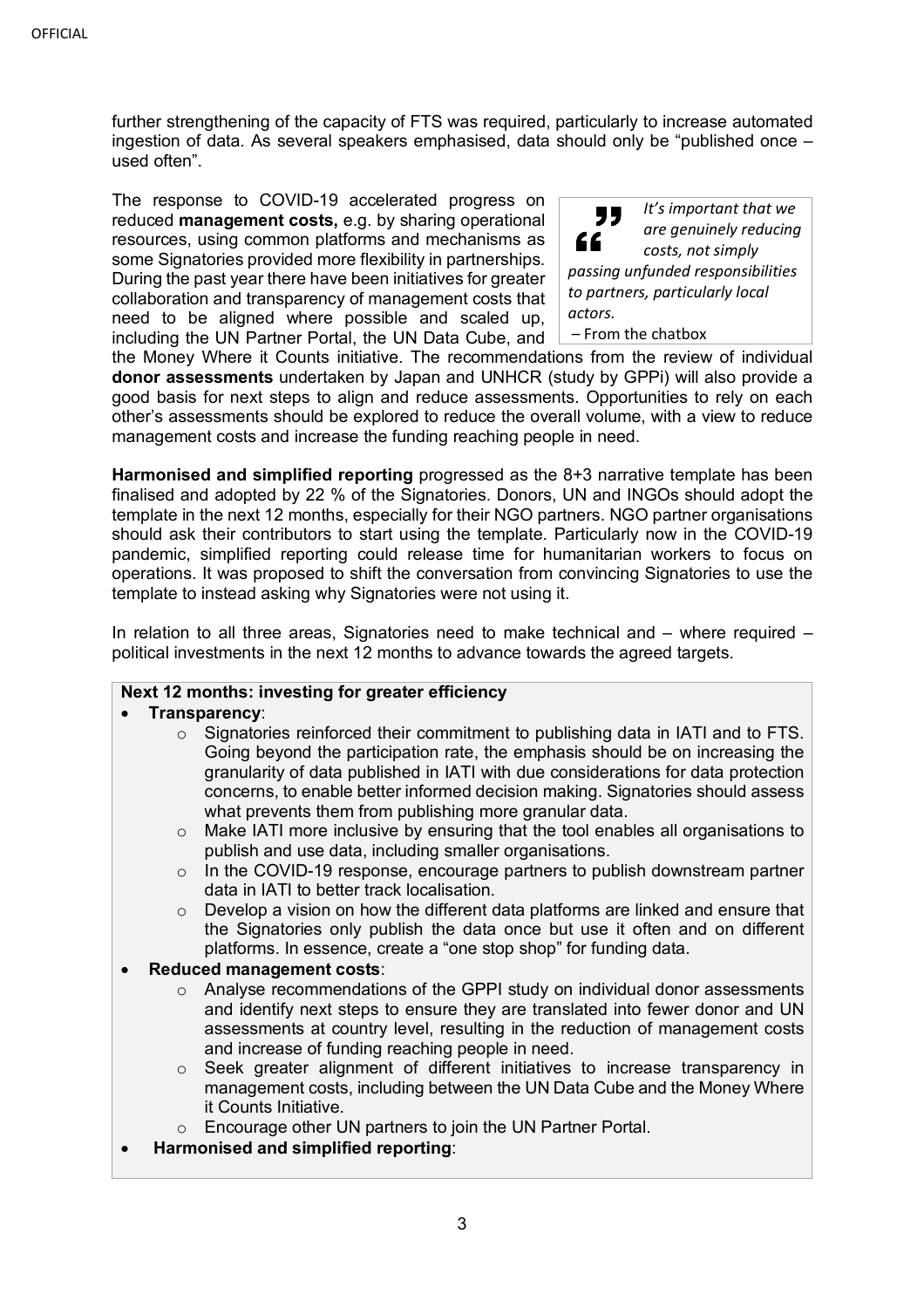further strengthening of the capacity of FTS was required, particularly to increase automated ingestion of data. As several speakers emphasised, data should only be "published once – used often".

The response to COVID-19 accelerated progress on reduced **management costs,** e.g. by sharing operational resources, using common platforms and mechanisms as some Signatories provided more flexibility in partnerships. During the past year there have been initiatives for greater collaboration and transparency of management costs that need to be aligned where possible and scaled up, including the UN Partner Portal, the UN Data Cube, and



the Money Where it Counts initiative. The recommendations from the review of individual **donor assessments** undertaken by Japan and UNHCR (study by GPPi) will also provide a good basis for next steps to align and reduce assessments. Opportunities to rely on each other's assessments should be explored to reduce the overall volume, with a view to reduce management costs and increase the funding reaching people in need.

**Harmonised and simplified reporting** progressed as the 8+3 narrative template has been finalised and adopted by 22 % of the Signatories. Donors, UN and INGOs should adopt the template in the next 12 months, especially for their NGO partners. NGO partner organisations should ask their contributors to start using the template. Particularly now in the COVID-19 pandemic, simplified reporting could release time for humanitarian workers to focus on operations. It was proposed to shift the conversation from convincing Signatories to use the template to instead asking why Signatories were not using it.

In relation to all three areas, Signatories need to make technical and  $-$  where required  $$ political investments in the next 12 months to advance towards the agreed targets.

# **Next 12 months: investing for greater efficiency**

## • **Transparency**:

- $\circ$  Signatories reinforced their commitment to publishing data in IATI and to FTS. Going beyond the participation rate, the emphasis should be on increasing the granularity of data published in IATI with due considerations for data protection concerns, to enable better informed decision making. Signatories should assess what prevents them from publishing more granular data.
- $\circ$  Make IATI more inclusive by ensuring that the tool enables all organisations to publish and use data, including smaller organisations.
- $\circ$  In the COVID-19 response, encourage partners to publish downstream partner data in IATI to better track localisation.
- Develop a vision on how the different data platforms are linked and ensure that the Signatories only publish the data once but use it often and on different platforms. In essence, create a "one stop shop" for funding data.

#### • **Reduced management costs**:

- $\circ$  Analyse recommendations of the GPPI study on individual donor assessments and identify next steps to ensure they are translated into fewer donor and UN assessments at country level, resulting in the reduction of management costs and increase of funding reaching people in need.
- $\circ$  Seek greater alignment of different initiatives to increase transparency in management costs, including between the UN Data Cube and the Money Where it Counts Initiative.
- o Encourage other UN partners to join the UN Partner Portal.
- **Harmonised and simplified reporting**: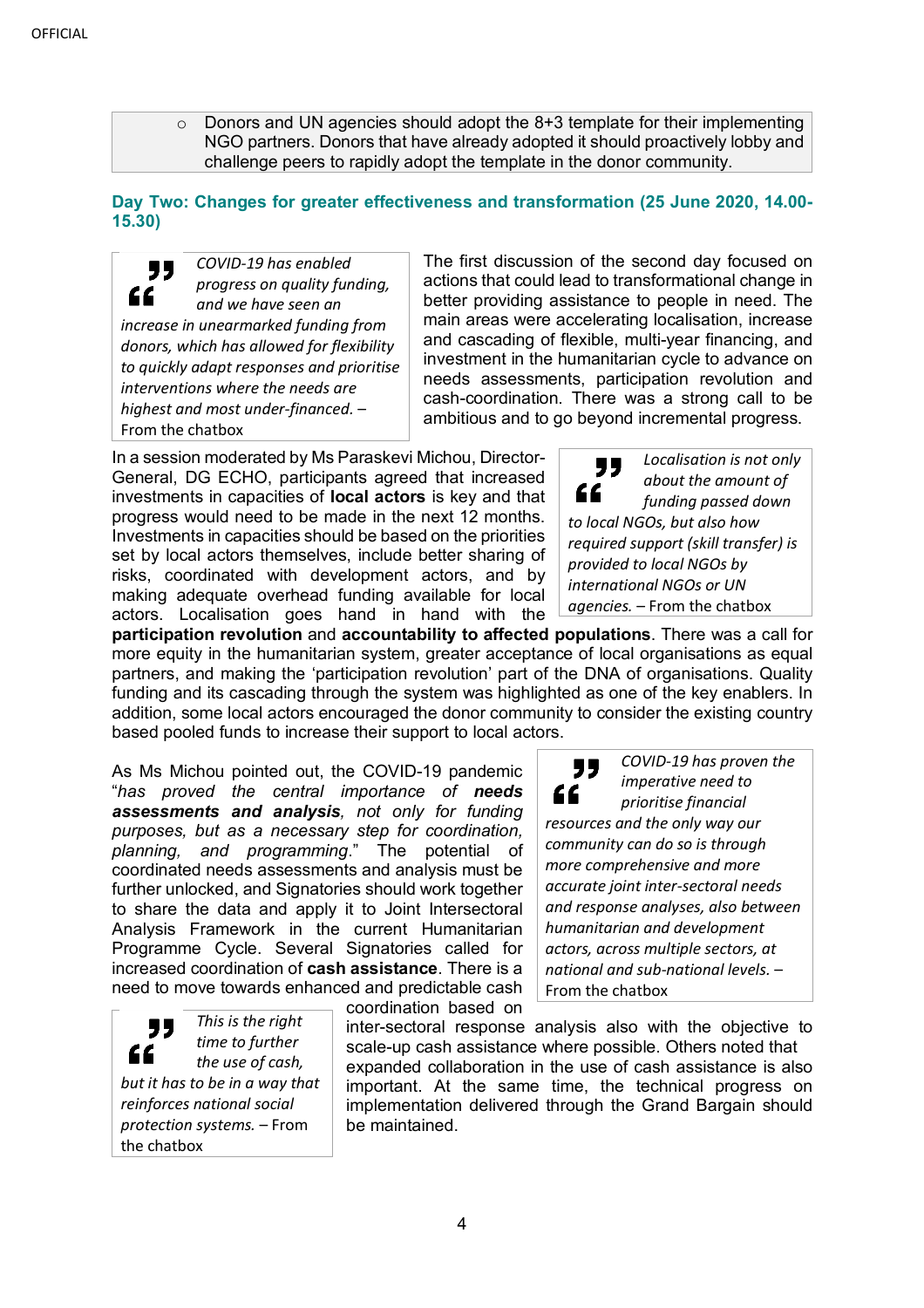$\circ$  Donors and UN agencies should adopt the 8+3 template for their implementing NGO partners. Donors that have already adopted it should proactively lobby and challenge peers to rapidly adopt the template in the donor community.

# **Day Two: Changes for greater effectiveness and transformation (25 June 2020, 14.00- 15.30)**

*COVID-19 has enabled*  " *progress on quality funding,*  " *and we have seen an increase in unearmarked funding from donors, which has allowed for flexibility to quickly adapt responses and prioritise interventions where the needs are highest and most under-financed.* – From the chatbox

The first discussion of the second day focused on actions that could lead to transformational change in better providing assistance to people in need. The main areas were accelerating localisation, increase and cascading of flexible, multi-year financing, and investment in the humanitarian cycle to advance on needs assessments, participation revolution and cash-coordination. There was a strong call to be ambitious and to go beyond incremental progress.

In a session moderated by Ms Paraskevi Michou, Director-General, DG ECHO, participants agreed that increased investments in capacities of **local actors** is key and that progress would need to be made in the next 12 months. Investments in capacities should be based on the priorities set by local actors themselves, include better sharing of risks, coordinated with development actors, and by making adequate overhead funding available for local actors. Localisation goes hand in hand with the

*Localisation is not only*  77 *about the amount of*  " *funding passed down to local NGOs, but also how required support (skill transfer) is provided to local NGOs by international NGOs or UN agencies.* – From the chatbox

**participation revolution** and **accountability to affected populations**. There was a call for more equity in the humanitarian system, greater acceptance of local organisations as equal partners, and making the 'participation revolution' part of the DNA of organisations. Quality funding and its cascading through the system was highlighted as one of the key enablers. In addition, some local actors encouraged the donor community to consider the existing country based pooled funds to increase their support to local actors.

As Ms Michou pointed out, the COVID-19 pandemic "*has proved the central importance of needs assessments and analysis, not only for funding purposes, but as a necessary step for coordination, planning, and programming*." The potential of coordinated needs assessments and analysis must be further unlocked, and Signatories should work together to share the data and apply it to Joint Intersectoral Analysis Framework in the current Humanitarian Programme Cycle. Several Signatories called for increased coordination of **cash assistance**. There is a need to move towards enhanced and predictable cash

coordination based on

*This is the right*  77 *time to further*  " *the use of cash, but it has to be in a way that reinforces national social protection systems.* – From the chatbox

*prioritise financial resources and the only way our community can do so is through more comprehensive and more accurate joint inter-sectoral needs and response analyses, also between humanitarian and development actors, across multiple sectors, at national and sub-national levels.* – From the chatbox

*COVID-19 has proven the imperative need to* 

inter-sectoral response analysis also with the objective to scale-up cash assistance where possible. Others noted that expanded collaboration in the use of cash assistance is also important. At the same time, the technical progress on implementation delivered through the Grand Bargain should be maintained.

"

"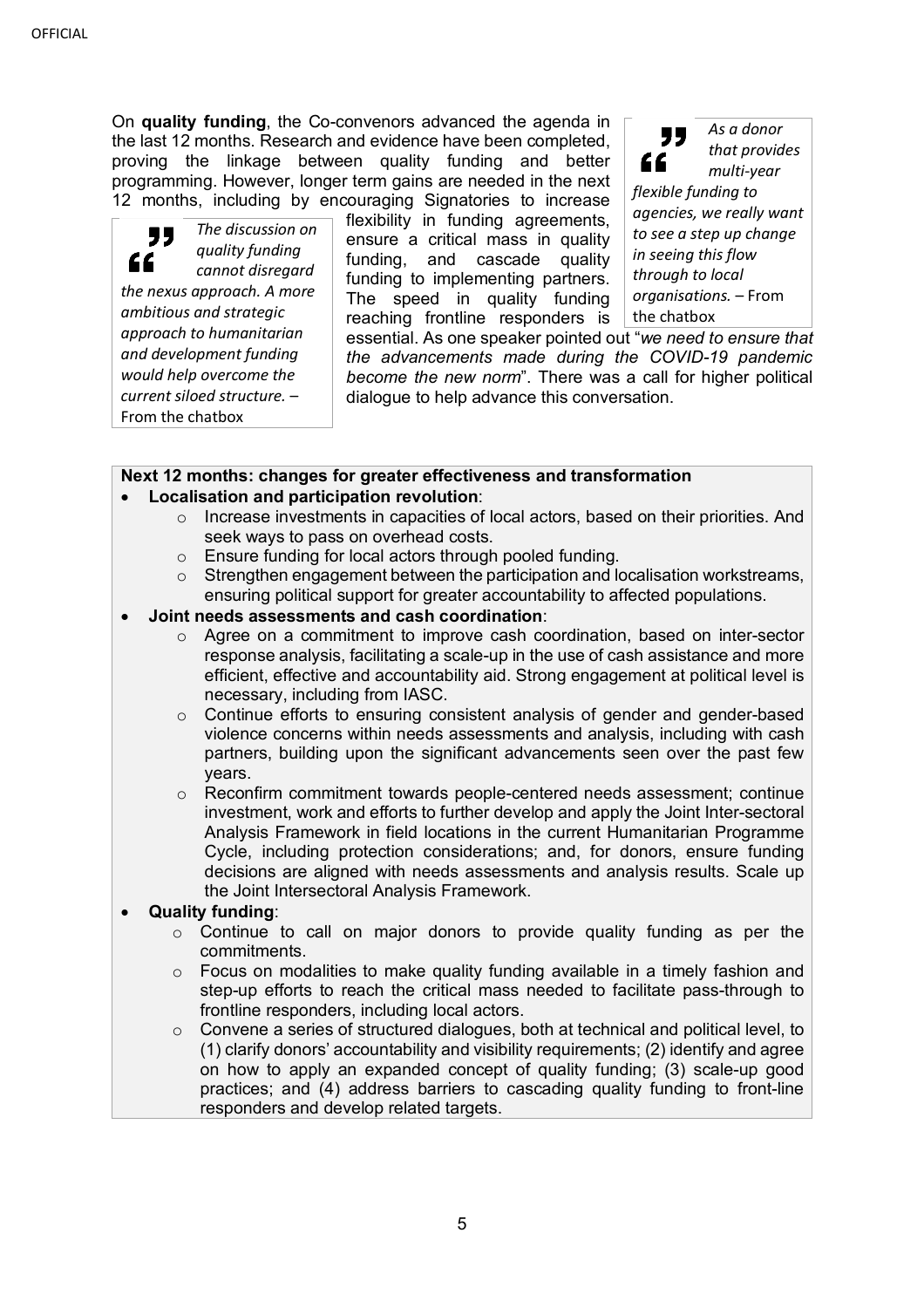On **quality funding**, the Co-convenors advanced the agenda in the last 12 months. Research and evidence have been completed, proving the linkage between quality funding and better programming. However, longer term gains are needed in the next 12 months, including by encouraging Signatories to increase

*The discussion on*  99 *quality funding*  " *cannot disregard the nexus approach. A more ambitious and strategic approach to humanitarian and development funding would help overcome the current siloed structure.* – From the chatbox

flexibility in funding agreements, ensure a critical mass in quality funding, and cascade quality funding to implementing partners. The speed in quality funding reaching frontline responders is

*As a donor*  77 *that provides*  " *multi-year flexible funding to agencies, we really want to see a step up change in seeing this flow through to local organisations.* – From the chatbox

essential. As one speaker pointed out "*we need to ensure that the advancements made during the COVID-19 pandemic become the new norm*". There was a call for higher political dialogue to help advance this conversation.

# **Next 12 months: changes for greater effectiveness and transformation**

- **Localisation and participation revolution**:
	- o Increase investments in capacities of local actors, based on their priorities. And seek ways to pass on overhead costs.
	- o Ensure funding for local actors through pooled funding.
	- $\circ$  Strengthen engagement between the participation and localisation workstreams, ensuring political support for greater accountability to affected populations.
- **Joint needs assessments and cash coordination**:
	- $\circ$  Agree on a commitment to improve cash coordination, based on inter-sector response analysis, facilitating a scale-up in the use of cash assistance and more efficient, effective and accountability aid. Strong engagement at political level is necessary, including from IASC.
	- $\circ$  Continue efforts to ensuring consistent analysis of gender and gender-based violence concerns within needs assessments and analysis, including with cash partners, building upon the significant advancements seen over the past few years.

 $\circ$  Reconfirm commitment towards people-centered needs assessment; continue investment, work and efforts to further develop and apply the Joint Inter-sectoral Analysis Framework in field locations in the current Humanitarian Programme Cycle, including protection considerations; and, for donors, ensure funding decisions are aligned with needs assessments and analysis results. Scale up the Joint Intersectoral Analysis Framework.

# • **Quality funding**:

- $\circ$  Continue to call on major donors to provide quality funding as per the commitments.
- $\circ$  Focus on modalities to make quality funding available in a timely fashion and step-up efforts to reach the critical mass needed to facilitate pass-through to frontline responders, including local actors.
- o Convene a series of structured dialogues, both at technical and political level, to (1) clarify donors' accountability and visibility requirements; (2) identify and agree on how to apply an expanded concept of quality funding; (3) scale-up good practices; and (4) address barriers to cascading quality funding to front-line responders and develop related targets.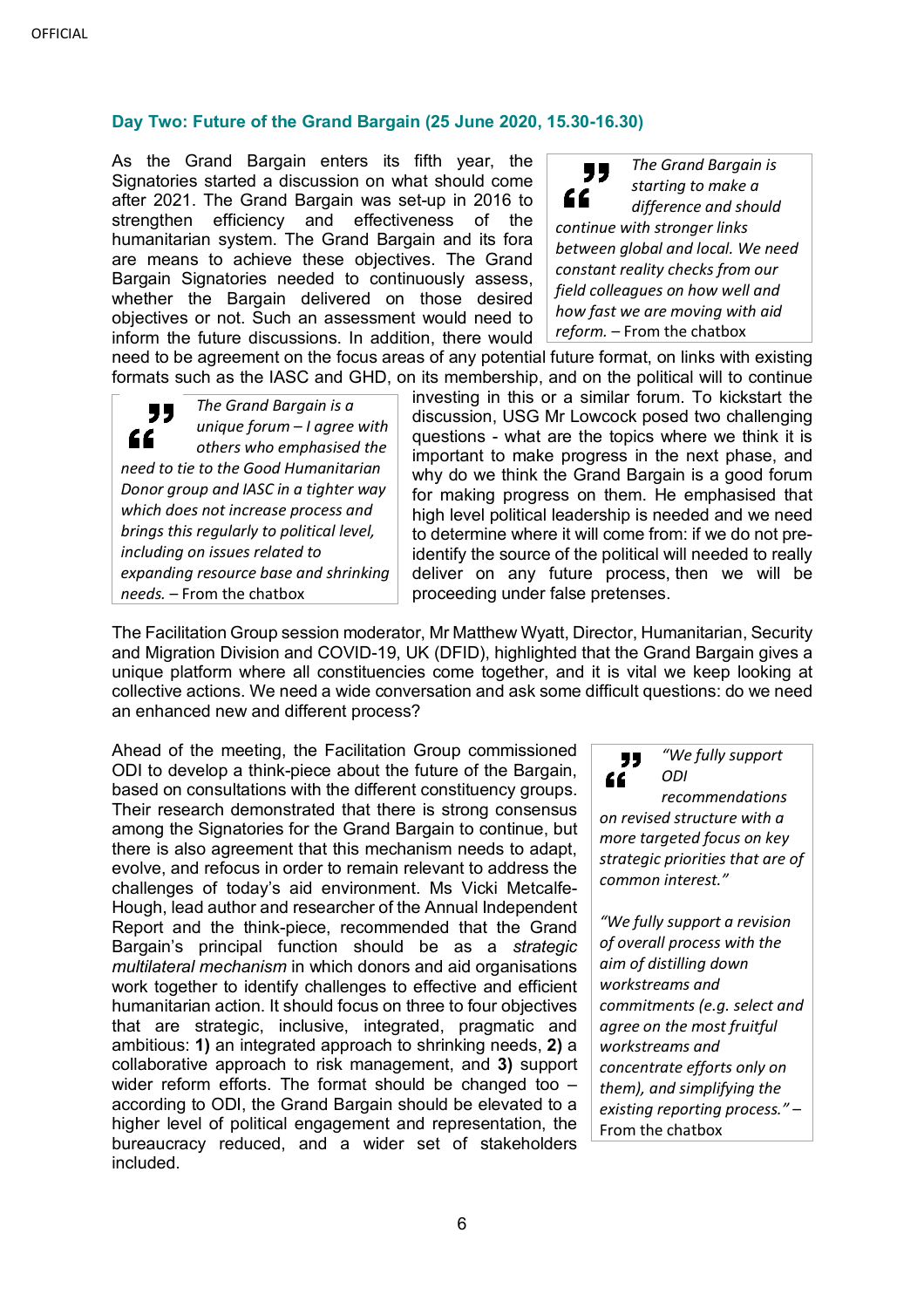# **Day Two: Future of the Grand Bargain (25 June 2020, 15.30-16.30)**

As the Grand Bargain enters its fifth year, the Signatories started a discussion on what should come after 2021. The Grand Bargain was set-up in 2016 to strengthen efficiency and effectiveness of the humanitarian system. The Grand Bargain and its fora are means to achieve these objectives. The Grand Bargain Signatories needed to continuously assess, whether the Bargain delivered on those desired objectives or not. Such an assessment would need to inform the future discussions. In addition, there would

*The Grand Bargain is*  " *starting to make a*  " *difference and should continue with stronger links between global and local. We need constant reality checks from our field colleagues on how well and how fast we are moving with aid reform.* – From the chatbox

need to be agreement on the focus areas of any potential future format, on links with existing formats such as the IASC and GHD, on its membership, and on the political will to continue

*The Grand Bargain is a*  77 *unique forum – I agree with*  " *others who emphasised the need to tie to the Good Humanitarian Donor group and IASC in a tighter way which does not increase process and brings this regularly to political level, including on issues related to expanding resource base and shrinking needs.* – From the chatbox

investing in this or a similar forum. To kickstart the discussion, USG Mr Lowcock posed two challenging questions - what are the topics where we think it is important to make progress in the next phase, and why do we think the Grand Bargain is a good forum for making progress on them. He emphasised that high level political leadership is needed and we need to determine where it will come from: if we do not preidentify the source of the political will needed to really deliver on any future process, then we will be proceeding under false pretenses.

The Facilitation Group session moderator, Mr Matthew Wyatt, Director, Humanitarian, Security and Migration Division and COVID-19, UK (DFID), highlighted that the Grand Bargain gives a unique platform where all constituencies come together, and it is vital we keep looking at collective actions. We need a wide conversation and ask some difficult questions: do we need an enhanced new and different process?

Ahead of the meeting, the Facilitation Group commissioned ODI to develop a think-piece about the future of the Bargain, based on consultations with the different constituency groups. Their research demonstrated that there is strong consensus among the Signatories for the Grand Bargain to continue, but there is also agreement that this mechanism needs to adapt, evolve, and refocus in order to remain relevant to address the challenges of today's aid environment. Ms Vicki Metcalfe-Hough, lead author and researcher of the Annual Independent Report and the think-piece, recommended that the Grand Bargain's principal function should be as a *strategic multilateral mechanism* in which donors and aid organisations work together to identify challenges to effective and efficient humanitarian action. It should focus on three to four objectives that are strategic, inclusive, integrated, pragmatic and ambitious: **1)** an integrated approach to shrinking needs, **2)** a collaborative approach to risk management, and **3)** support wider reform efforts. The format should be changed too according to ODI, the Grand Bargain should be elevated to a higher level of political engagement and representation, the bureaucracy reduced, and a wider set of stakeholders included.

*"We fully support*  " *ODI*  "

*recommendations on revised structure with a more targeted focus on key strategic priorities that are of common interest."*

*"We fully support a revision of overall process with the aim of distilling down workstreams and commitments (e.g. select and agree on the most fruitful workstreams and concentrate efforts only on them), and simplifying the existing reporting process."* – From the chatbox